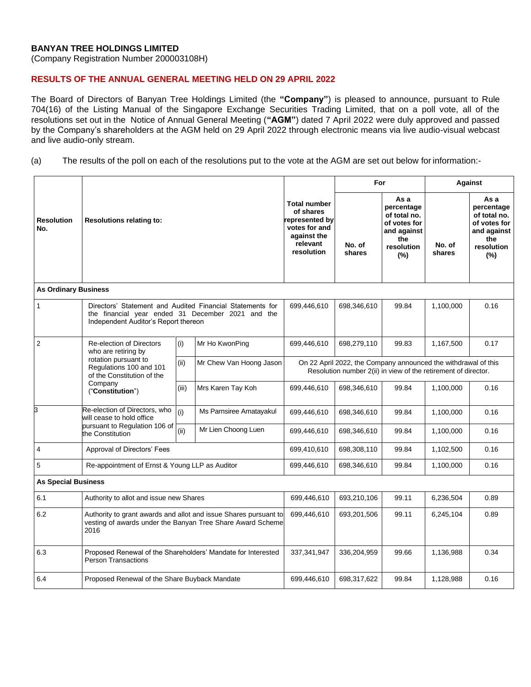## **BANYAN TREE HOLDINGS LIMITED**

(Company Registration Number 200003108H)

## **RESULTS OF THE ANNUAL GENERAL MEETING HELD ON 29 APRIL 2022**

The Board of Directors of Banyan Tree Holdings Limited (the **"Company"**) is pleased to announce, pursuant to Rule 704(16) of the Listing Manual of the Singapore Exchange Securities Trading Limited, that on a poll vote, all of the resolutions set out in the Notice of Annual General Meeting (**"AGM"**) dated 7 April 2022 were duly approved and passed by the Company's shareholders at the AGM held on 29 April 2022 through electronic means via live audio-visual webcast and live audio-only stream.

## (a) The results of the poll on each of the resolutions put to the vote at the AGM are set out below for information:-

|                             | <b>Resolutions relating to:</b>                                                                                                                                        |       |                         |                                                                                                                                  | For              |                                                                                                  | Against          |                                                                                               |
|-----------------------------|------------------------------------------------------------------------------------------------------------------------------------------------------------------------|-------|-------------------------|----------------------------------------------------------------------------------------------------------------------------------|------------------|--------------------------------------------------------------------------------------------------|------------------|-----------------------------------------------------------------------------------------------|
| <b>Resolution</b><br>No.    |                                                                                                                                                                        |       |                         | <b>Total number</b><br>of shares<br>represented by<br>votes for and<br>against the<br>relevant<br>resolution                     | No. of<br>shares | As a<br>percentage<br>of total no.<br>of votes for<br>and against<br>the<br>resolution<br>$(\%)$ | No. of<br>shares | As a<br>percentage<br>of total no.<br>of votes for<br>and against<br>the<br>resolution<br>(%) |
| <b>As Ordinary Business</b> |                                                                                                                                                                        |       |                         |                                                                                                                                  |                  |                                                                                                  |                  |                                                                                               |
| $\mathbf{1}$                | Directors' Statement and Audited Financial Statements for<br>the financial year ended 31 December 2021 and the<br>Independent Auditor's Report thereon                 |       |                         | 699,446,610                                                                                                                      | 698,346,610      | 99.84                                                                                            | 1,100,000        | 0.16                                                                                          |
| $\overline{2}$              | <b>Re-election of Directors</b><br>who are retiring by<br>rotation pursuant to<br>Regulations 100 and 101<br>of the Constitution of the<br>Company<br>("Constitution") | (i)   | Mr Ho KwonPing          | 699,446,610                                                                                                                      | 698,279,110      | 99.83                                                                                            | 1,167,500        | 0.17                                                                                          |
|                             |                                                                                                                                                                        | (ii)  | Mr Chew Van Hoong Jason | On 22 April 2022, the Company announced the withdrawal of this<br>Resolution number 2(ii) in view of the retirement of director. |                  |                                                                                                  |                  |                                                                                               |
|                             |                                                                                                                                                                        | (iii) | Mrs Karen Tay Koh       | 699,446,610                                                                                                                      | 698,346,610      | 99.84                                                                                            | 1,100,000        | 0.16                                                                                          |
| 3                           | Re-election of Directors, who<br>will cease to hold office<br>pursuant to Regulation 106 of<br>the Constitution                                                        | (i)   | Ms Parnsiree Amatayakul | 699,446,610                                                                                                                      | 698,346,610      | 99.84                                                                                            | 1,100,000        | 0.16                                                                                          |
|                             |                                                                                                                                                                        | (ii)  | Mr Lien Choong Luen     | 699,446,610                                                                                                                      | 698,346,610      | 99.84                                                                                            | 1,100,000        | 0.16                                                                                          |
| $\overline{4}$              | Approval of Directors' Fees                                                                                                                                            |       | 699,410,610             | 698,308,110                                                                                                                      | 99.84            | 1,102,500                                                                                        | 0.16             |                                                                                               |
| $5\phantom{.0}$             | Re-appointment of Ernst & Young LLP as Auditor                                                                                                                         |       |                         | 699,446,610                                                                                                                      | 698,346,610      | 99.84                                                                                            | 1,100,000        | 0.16                                                                                          |
| <b>As Special Business</b>  |                                                                                                                                                                        |       |                         |                                                                                                                                  |                  |                                                                                                  |                  |                                                                                               |
| 6.1                         | Authority to allot and issue new Shares                                                                                                                                |       |                         | 699,446,610                                                                                                                      | 693,210,106      | 99.11                                                                                            | 6,236,504        | 0.89                                                                                          |
| 6.2                         | Authority to grant awards and allot and issue Shares pursuant to<br>vesting of awards under the Banyan Tree Share Award Scheme<br>2016                                 |       |                         | 699,446,610                                                                                                                      | 693,201,506      | 99.11                                                                                            | 6,245,104        | 0.89                                                                                          |
| 6.3                         | Proposed Renewal of the Shareholders' Mandate for Interested<br><b>Person Transactions</b>                                                                             |       |                         | 337, 341, 947                                                                                                                    | 336,204,959      | 99.66                                                                                            | 1,136,988        | 0.34                                                                                          |
| 6.4                         | Proposed Renewal of the Share Buyback Mandate                                                                                                                          |       |                         | 699,446,610                                                                                                                      | 698,317,622      | 99.84                                                                                            | 1,128,988        | 0.16                                                                                          |